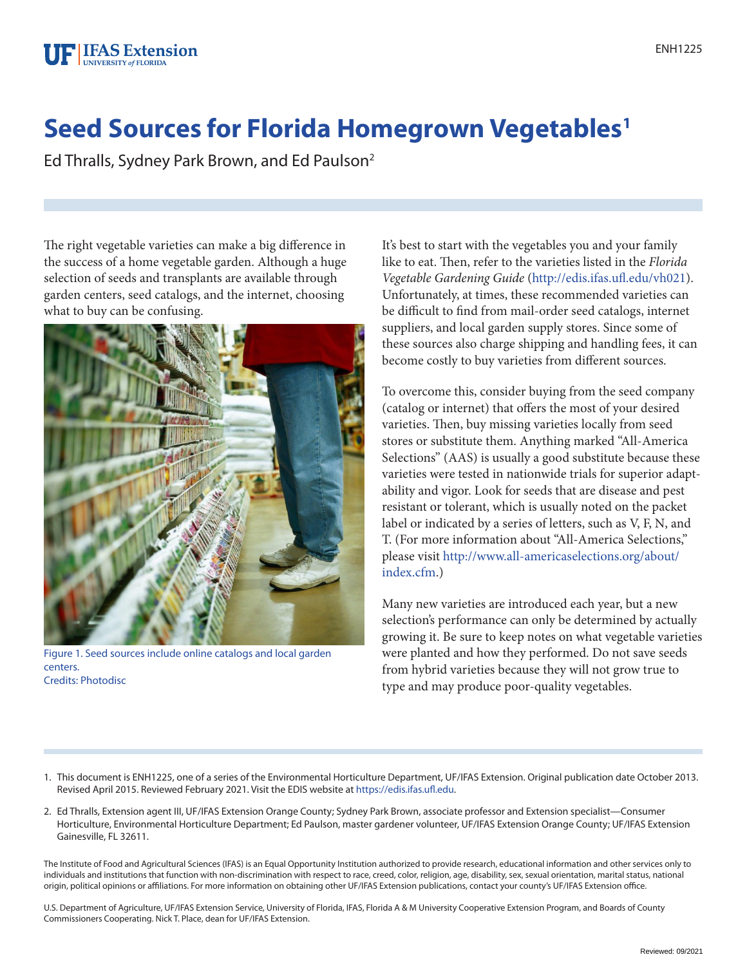## **Seed Sources for Florida Homegrown Vegetables1**

Ed Thralls, Sydney Park Brown, and Ed Paulson2

The right vegetable varieties can make a big difference in the success of a home vegetable garden. Although a huge selection of seeds and transplants are available through garden centers, seed catalogs, and the internet, choosing what to buy can be confusing.



Figure 1. Seed sources include online catalogs and local garden centers. Credits: Photodisc

It's best to start with the vegetables you and your family like to eat. Then, refer to the varieties listed in the *Florida Vegetable Gardening Guide* (http://edis.ifas.ufl.edu/vh021). Unfortunately, at times, these recommended varieties can be difficult to find from mail-order seed catalogs, internet suppliers, and local garden supply stores. Since some of these sources also charge shipping and handling fees, it can become costly to buy varieties from different sources.

To overcome this, consider buying from the seed company (catalog or internet) that offers the most of your desired varieties. Then, buy missing varieties locally from seed stores or substitute them. Anything marked "All-America Selections" (AAS) is usually a good substitute because these varieties were tested in nationwide trials for superior adaptability and vigor. Look for seeds that are disease and pest resistant or tolerant, which is usually noted on the packet label or indicated by a series of letters, such as V, F, N, and T. (For more information about "All-America Selections," please visit http://www.all-americaselections.org/about/ index.cfm.)

Many new varieties are introduced each year, but a new selection's performance can only be determined by actually growing it. Be sure to keep notes on what vegetable varieties were planted and how they performed. Do not save seeds from hybrid varieties because they will not grow true to type and may produce poor-quality vegetables.

- 1. This document is ENH1225, one of a series of the Environmental Horticulture Department, UF/IFAS Extension. Original publication date October 2013. Revised April 2015. Reviewed February 2021. Visit the EDIS website at https://edis.ifas.ufl.edu.
- 2. Ed Thralls, Extension agent III, UF/IFAS Extension Orange County; Sydney Park Brown, associate professor and Extension specialist—Consumer Horticulture, Environmental Horticulture Department; Ed Paulson, master gardener volunteer, UF/IFAS Extension Orange County; UF/IFAS Extension Gainesville, FL 32611.

The Institute of Food and Agricultural Sciences (IFAS) is an Equal Opportunity Institution authorized to provide research, educational information and other services only to individuals and institutions that function with non-discrimination with respect to race, creed, color, religion, age, disability, sex, sexual orientation, marital status, national origin, political opinions or affiliations. For more information on obtaining other UF/IFAS Extension publications, contact your county's UF/IFAS Extension office.

U.S. Department of Agriculture, UF/IFAS Extension Service, University of Florida, IFAS, Florida A & M University Cooperative Extension Program, and Boards of County Commissioners Cooperating. Nick T. Place, dean for UF/IFAS Extension.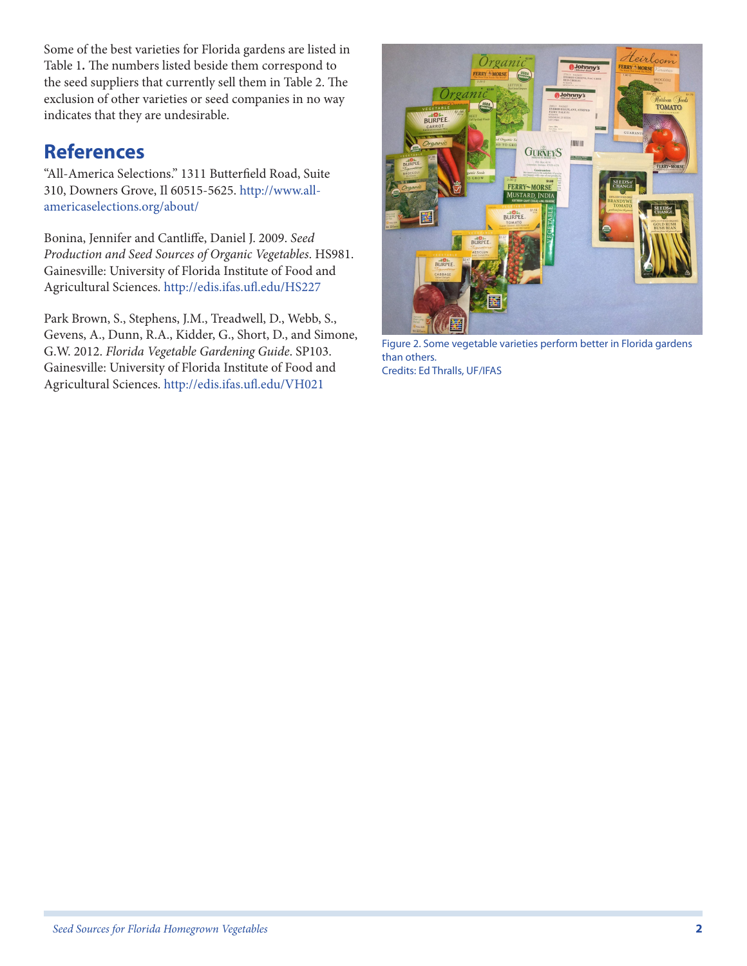Some of the best varieties for Florida gardens are listed in Table 1*.* The numbers listed beside them correspond to the seed suppliers that currently sell them in Table 2. The exclusion of other varieties or seed companies in no way indicates that they are undesirable.

## **References**

"All-America Selections." 1311 Butterfield Road, Suite 310, Downers Grove, Il 60515-5625. http://www.allamericaselections.org/about/

Bonina, Jennifer and Cantliffe, Daniel J. 2009. *Seed Production and Seed Sources of Organic Vegetables*. HS981. Gainesville: University of Florida Institute of Food and Agricultural Sciences. http://edis.ifas.ufl.edu/HS227

Park Brown, S., Stephens, J.M., Treadwell, D., Webb, S., Gevens, A., Dunn, R.A., Kidder, G., Short, D., and Simone, G.W. 2012. *Florida Vegetable Gardening Guide*. SP103. Gainesville: University of Florida Institute of Food and Agricultural Sciences. http://edis.ifas.ufl.edu/VH021



Figure 2. Some vegetable varieties perform better in Florida gardens than others. Credits: Ed Thralls, UF/IFAS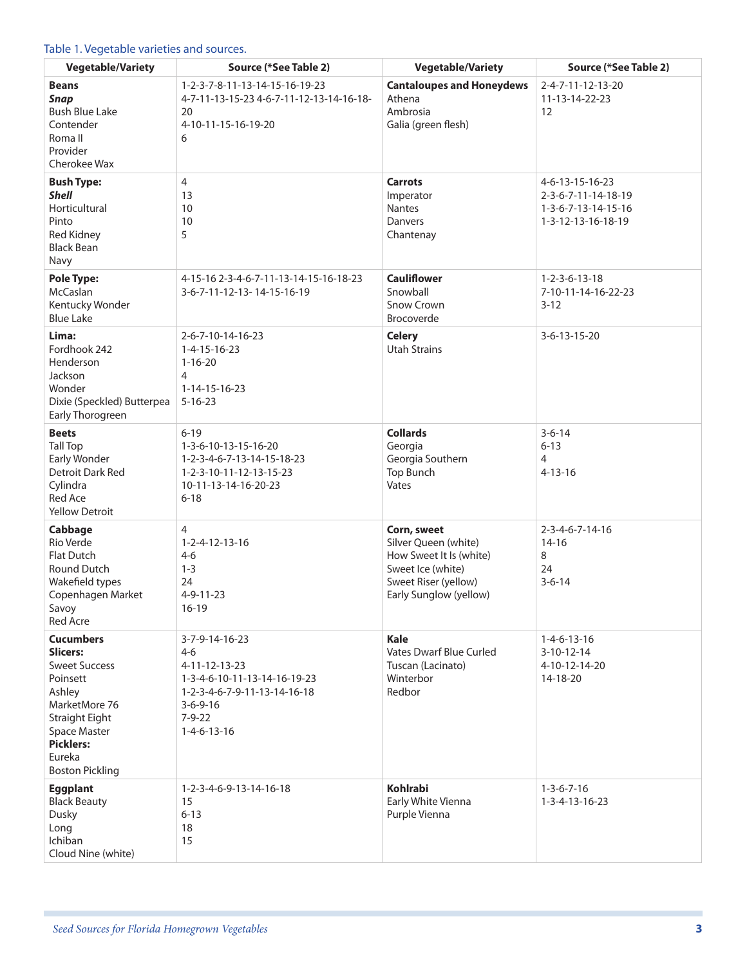## Table 1. Vegetable varieties and sources.

| <b>Vegetable/Variety</b>                                                                                                                                                                     | Source (*See Table 2)                                                                                                                                                 | <b>Vegetable/Variety</b>                                                                                                              | Source (*See Table 2)                                                               |
|----------------------------------------------------------------------------------------------------------------------------------------------------------------------------------------------|-----------------------------------------------------------------------------------------------------------------------------------------------------------------------|---------------------------------------------------------------------------------------------------------------------------------------|-------------------------------------------------------------------------------------|
| <b>Beans</b><br>Snap<br><b>Bush Blue Lake</b><br>Contender<br>Roma II<br>Provider<br>Cherokee Wax                                                                                            | 1-2-3-7-8-11-13-14-15-16-19-23<br>4-7-11-13-15-23 4-6-7-11-12-13-14-16-18-<br>20<br>4-10-11-15-16-19-20<br>6                                                          | <b>Cantaloupes and Honeydews</b><br>Athena<br>Ambrosia<br>Galia (green flesh)                                                         | 2-4-7-11-12-13-20<br>11-13-14-22-23<br>12                                           |
| <b>Bush Type:</b><br><b>Shell</b><br>Horticultural<br>Pinto<br><b>Red Kidney</b><br><b>Black Bean</b><br>Navy                                                                                | $\overline{4}$<br>13<br>10<br>10<br>5                                                                                                                                 | <b>Carrots</b><br>Imperator<br>Nantes<br>Danvers<br>Chantenay                                                                         | 4-6-13-15-16-23<br>2-3-6-7-11-14-18-19<br>1-3-6-7-13-14-15-16<br>1-3-12-13-16-18-19 |
| <b>Pole Type:</b><br>McCaslan<br>Kentucky Wonder<br><b>Blue Lake</b>                                                                                                                         | 4-15-16 2-3-4-6-7-11-13-14-15-16-18-23<br>3-6-7-11-12-13-14-15-16-19                                                                                                  | <b>Cauliflower</b><br>Snowball<br><b>Snow Crown</b><br><b>Brocoverde</b>                                                              | $1 - 2 - 3 - 6 - 13 - 18$<br>7-10-11-14-16-22-23<br>$3 - 12$                        |
| Lima:<br>Fordhook 242<br>Henderson<br>Jackson<br>Wonder<br>Dixie (Speckled) Butterpea<br>Early Thorogreen                                                                                    | 2-6-7-10-14-16-23<br>$1 - 4 - 15 - 16 - 23$<br>$1 - 16 - 20$<br>4<br>$1 - 14 - 15 - 16 - 23$<br>$5 - 16 - 23$                                                         | <b>Celery</b><br><b>Utah Strains</b>                                                                                                  | $3-6-13-15-20$                                                                      |
| <b>Beets</b><br><b>Tall Top</b><br>Early Wonder<br>Detroit Dark Red<br>Cylindra<br><b>Red Ace</b><br><b>Yellow Detroit</b>                                                                   | $6 - 19$<br>1-3-6-10-13-15-16-20<br>1-2-3-4-6-7-13-14-15-18-23<br>1-2-3-10-11-12-13-15-23<br>10-11-13-14-16-20-23<br>$6 - 18$                                         | <b>Collards</b><br>Georgia<br>Georgia Southern<br>Top Bunch<br>Vates                                                                  | $3 - 6 - 14$<br>$6 - 13$<br>4<br>$4 - 13 - 16$                                      |
| Cabbage<br>Rio Verde<br><b>Flat Dutch</b><br>Round Dutch<br>Wakefield types<br>Copenhagen Market<br>Savoy<br><b>Red Acre</b>                                                                 | 4<br>$1 - 2 - 4 - 12 - 13 - 16$<br>$4-6$<br>$1 - 3$<br>24<br>$4 - 9 - 11 - 23$<br>$16 - 19$                                                                           | Corn, sweet<br>Silver Queen (white)<br>How Sweet It Is (white)<br>Sweet Ice (white)<br>Sweet Riser (yellow)<br>Early Sunglow (yellow) | $2 - 3 - 4 - 6 - 7 - 14 - 16$<br>$14 - 16$<br>8<br>24<br>$3 - 6 - 14$               |
| <b>Cucumbers</b><br><b>Slicers:</b><br><b>Sweet Success</b><br>Poinsett<br>Ashley<br>MarketMore 76<br>Straight Eight<br>Space Master<br><b>Picklers:</b><br>Eureka<br><b>Boston Pickling</b> | 3-7-9-14-16-23<br>$4-6$<br>4-11-12-13-23<br>1-3-4-6-10-11-13-14-16-19-23<br>1-2-3-4-6-7-9-11-13-14-16-18<br>$3 - 6 - 9 - 16$<br>$7 - 9 - 22$<br>$1 - 4 - 6 - 13 - 16$ | <b>Kale</b><br>Vates Dwarf Blue Curled<br>Tuscan (Lacinato)<br>Winterbor<br>Redbor                                                    | $1 - 4 - 6 - 13 - 16$<br>$3-10-12-14$<br>4-10-12-14-20<br>14-18-20                  |
| <b>Eggplant</b><br><b>Black Beauty</b><br>Dusky<br>Long<br>Ichiban<br>Cloud Nine (white)                                                                                                     | 1-2-3-4-6-9-13-14-16-18<br>15<br>$6 - 13$<br>18<br>15                                                                                                                 | Kohlrabi<br>Early White Vienna<br>Purple Vienna                                                                                       | $1 - 3 - 6 - 7 - 16$<br>1-3-4-13-16-23                                              |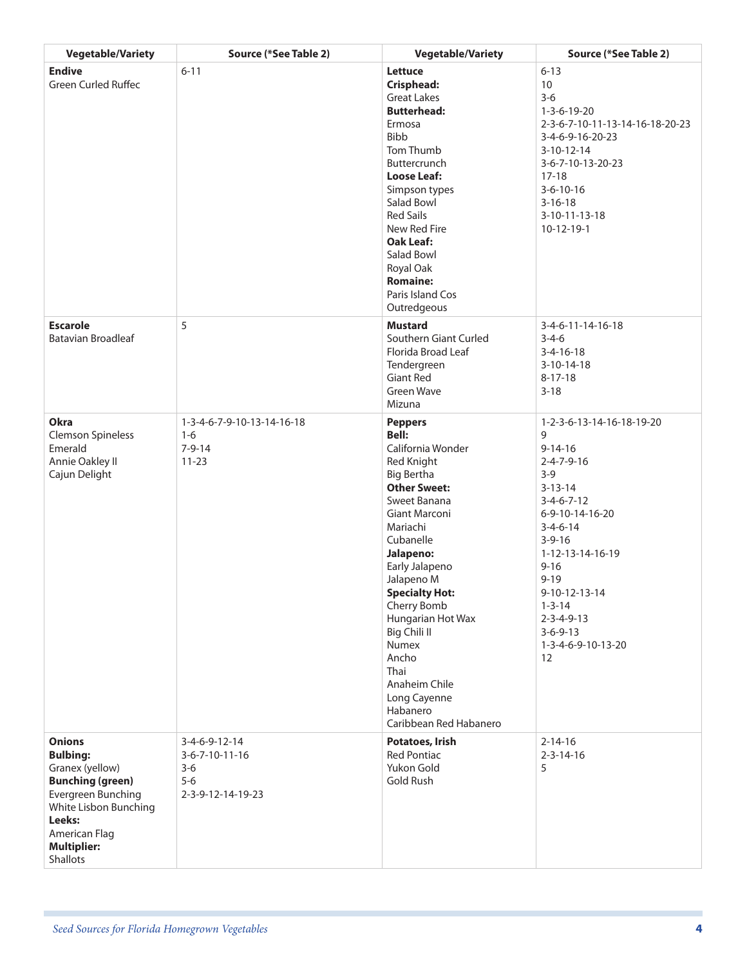| <b>Vegetable/Variety</b>                                                                                                                                                                   | <b>Source (*See Table 2)</b>                                           | <b>Vegetable/Variety</b>                                                                                                                                                                                                                                                                                                                                                                           | Source (*See Table 2)                                                                                                                                                                                                                                                                                                         |
|--------------------------------------------------------------------------------------------------------------------------------------------------------------------------------------------|------------------------------------------------------------------------|----------------------------------------------------------------------------------------------------------------------------------------------------------------------------------------------------------------------------------------------------------------------------------------------------------------------------------------------------------------------------------------------------|-------------------------------------------------------------------------------------------------------------------------------------------------------------------------------------------------------------------------------------------------------------------------------------------------------------------------------|
| <b>Endive</b><br><b>Green Curled Ruffec</b>                                                                                                                                                | $6 - 11$                                                               | <b>Lettuce</b><br>Crisphead:<br><b>Great Lakes</b><br><b>Butterhead:</b><br>Ermosa<br><b>Bibb</b><br>Tom Thumb<br>Buttercrunch<br><b>Loose Leaf:</b><br>Simpson types<br>Salad Bowl<br><b>Red Sails</b><br>New Red Fire<br><b>Oak Leaf:</b><br><b>Salad Bowl</b><br>Royal Oak<br><b>Romaine:</b><br>Paris Island Cos<br>Outredgeous                                                                | $6 - 13$<br>10<br>$3 - 6$<br>$1 - 3 - 6 - 19 - 20$<br>2-3-6-7-10-11-13-14-16-18-20-23<br>3-4-6-9-16-20-23<br>$3-10-12-14$<br>3-6-7-10-13-20-23<br>$17 - 18$<br>$3-6-10-16$<br>$3 - 16 - 18$<br>3-10-11-13-18<br>10-12-19-1                                                                                                    |
| <b>Escarole</b><br><b>Batavian Broadleaf</b>                                                                                                                                               | 5                                                                      | <b>Mustard</b><br>Southern Giant Curled<br>Florida Broad Leaf<br>Tendergreen<br><b>Giant Red</b><br><b>Green Wave</b><br>Mizuna                                                                                                                                                                                                                                                                    | 3-4-6-11-14-16-18<br>$3 - 4 - 6$<br>$3 - 4 - 16 - 18$<br>$3-10-14-18$<br>$8 - 17 - 18$<br>$3 - 18$                                                                                                                                                                                                                            |
| <b>Okra</b><br><b>Clemson Spineless</b><br>Emerald<br>Annie Oakley II<br>Cajun Delight                                                                                                     | 1-3-4-6-7-9-10-13-14-16-18<br>$1 - 6$<br>$7 - 9 - 14$<br>$11 - 23$     | <b>Peppers</b><br>Bell:<br>California Wonder<br><b>Red Knight</b><br><b>Big Bertha</b><br><b>Other Sweet:</b><br>Sweet Banana<br>Giant Marconi<br>Mariachi<br>Cubanelle<br>Jalapeno:<br>Early Jalapeno<br>Jalapeno M<br><b>Specialty Hot:</b><br>Cherry Bomb<br>Hungarian Hot Wax<br>Big Chili II<br>Numex<br>Ancho<br>Thai<br>Anaheim Chile<br>Long Cayenne<br>Habanero<br>Caribbean Red Habanero | 1-2-3-6-13-14-16-18-19-20<br>9<br>$9 - 14 - 16$<br>$2 - 4 - 7 - 9 - 16$<br>$3-9$<br>$3 - 13 - 14$<br>$3-4-6-7-12$<br>6-9-10-14-16-20<br>$3 - 4 - 6 - 14$<br>$3 - 9 - 16$<br>1-12-13-14-16-19<br>$9 - 16$<br>$9 - 19$<br>9-10-12-13-14<br>$1 - 3 - 14$<br>$2 - 3 - 4 - 9 - 13$<br>$3 - 6 - 9 - 13$<br>1-3-4-6-9-10-13-20<br>12 |
| <b>Onions</b><br><b>Bulbing:</b><br>Granex (yellow)<br><b>Bunching (green)</b><br>Evergreen Bunching<br>White Lisbon Bunching<br>Leeks:<br>American Flag<br><b>Multiplier:</b><br>Shallots | 3-4-6-9-12-14<br>3-6-7-10-11-16<br>$3-6$<br>$5-6$<br>2-3-9-12-14-19-23 | Potatoes, Irish<br><b>Red Pontiac</b><br>Yukon Gold<br>Gold Rush                                                                                                                                                                                                                                                                                                                                   | $2 - 14 - 16$<br>$2 - 3 - 14 - 16$<br>5                                                                                                                                                                                                                                                                                       |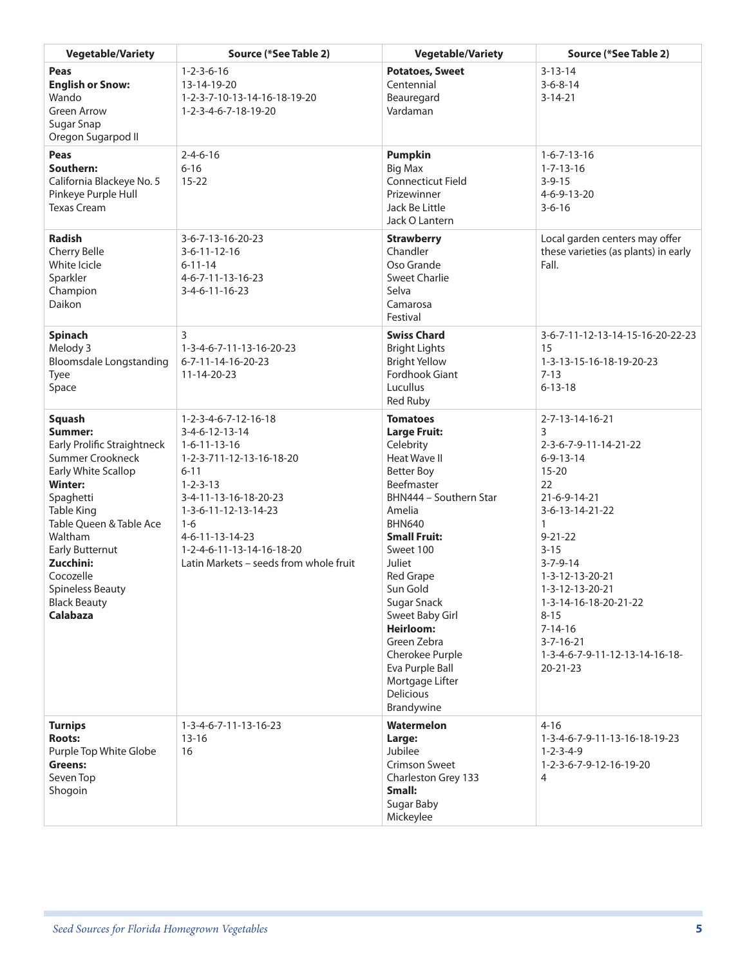| <b>Vegetable/Variety</b>                                                                                                                                                                                                                                                                                       | Source (*See Table 2)                                                                                                                                                                                                                                                              | <b>Vegetable/Variety</b>                                                                                                                                                                                                                                                                                                                                                                    | Source (*See Table 2)                                                                                                                                                                                                                                                                                                                               |
|----------------------------------------------------------------------------------------------------------------------------------------------------------------------------------------------------------------------------------------------------------------------------------------------------------------|------------------------------------------------------------------------------------------------------------------------------------------------------------------------------------------------------------------------------------------------------------------------------------|---------------------------------------------------------------------------------------------------------------------------------------------------------------------------------------------------------------------------------------------------------------------------------------------------------------------------------------------------------------------------------------------|-----------------------------------------------------------------------------------------------------------------------------------------------------------------------------------------------------------------------------------------------------------------------------------------------------------------------------------------------------|
| Peas<br><b>English or Snow:</b><br>Wando<br><b>Green Arrow</b><br>Sugar Snap<br>Oregon Sugarpod II                                                                                                                                                                                                             | $1 - 2 - 3 - 6 - 16$<br>13-14-19-20<br>1-2-3-7-10-13-14-16-18-19-20<br>1-2-3-4-6-7-18-19-20                                                                                                                                                                                        | <b>Potatoes, Sweet</b><br>Centennial<br>Beauregard<br>Vardaman                                                                                                                                                                                                                                                                                                                              | $3 - 13 - 14$<br>$3-6-8-14$<br>$3 - 14 - 21$                                                                                                                                                                                                                                                                                                        |
| Peas<br>Southern:<br>California Blackeye No. 5<br>Pinkeye Purple Hull<br><b>Texas Cream</b>                                                                                                                                                                                                                    | $2 - 4 - 6 - 16$<br>$6 - 16$<br>$15 - 22$                                                                                                                                                                                                                                          | <b>Pumpkin</b><br><b>Big Max</b><br><b>Connecticut Field</b><br>Prizewinner<br>Jack Be Little<br>Jack O Lantern                                                                                                                                                                                                                                                                             | $1 - 6 - 7 - 13 - 16$<br>$1 - 7 - 13 - 16$<br>$3 - 9 - 15$<br>4-6-9-13-20<br>$3 - 6 - 16$                                                                                                                                                                                                                                                           |
| <b>Radish</b><br>Cherry Belle<br>White Icicle<br>Sparkler<br>Champion<br>Daikon                                                                                                                                                                                                                                | 3-6-7-13-16-20-23<br>$3-6-11-12-16$<br>$6 - 11 - 14$<br>4-6-7-11-13-16-23<br>$3-4-6-11-16-23$                                                                                                                                                                                      | <b>Strawberry</b><br>Chandler<br>Oso Grande<br><b>Sweet Charlie</b><br>Selva<br>Camarosa<br>Festival                                                                                                                                                                                                                                                                                        | Local garden centers may offer<br>these varieties (as plants) in early<br>Fall.                                                                                                                                                                                                                                                                     |
| Spinach<br>Melody 3<br><b>Bloomsdale Longstanding</b><br>Tyee<br>Space                                                                                                                                                                                                                                         | 3<br>1-3-4-6-7-11-13-16-20-23<br>6-7-11-14-16-20-23<br>11-14-20-23                                                                                                                                                                                                                 | <b>Swiss Chard</b><br><b>Bright Lights</b><br><b>Bright Yellow</b><br>Fordhook Giant<br>Lucullus<br>Red Ruby                                                                                                                                                                                                                                                                                | 3-6-7-11-12-13-14-15-16-20-22-23<br>15<br>1-3-13-15-16-18-19-20-23<br>$7 - 13$<br>$6 - 13 - 18$                                                                                                                                                                                                                                                     |
| Squash<br>Summer:<br>Early Prolific Straightneck<br>Summer Crookneck<br>Early White Scallop<br><b>Winter:</b><br>Spaghetti<br><b>Table King</b><br>Table Queen & Table Ace<br>Waltham<br><b>Early Butternut</b><br>Zucchini:<br>Cocozelle<br><b>Spineless Beauty</b><br><b>Black Beauty</b><br><b>Calabaza</b> | 1-2-3-4-6-7-12-16-18<br>$3-4-6-12-13-14$<br>$1 - 6 - 11 - 13 - 16$<br>1-2-3-711-12-13-16-18-20<br>$6 - 11$<br>$1 - 2 - 3 - 13$<br>3-4-11-13-16-18-20-23<br>1-3-6-11-12-13-14-23<br>$1-6$<br>4-6-11-13-14-23<br>1-2-4-6-11-13-14-16-18-20<br>Latin Markets - seeds from whole fruit | <b>Tomatoes</b><br><b>Large Fruit:</b><br>Celebrity<br>Heat Wave II<br><b>Better Boy</b><br>Beefmaster<br>BHN444 - Southern Star<br>Amelia<br><b>BHN640</b><br><b>Small Fruit:</b><br>Sweet 100<br>Juliet<br>Red Grape<br>Sun Gold<br>Sugar Snack<br>Sweet Baby Girl<br><b>Heirloom:</b><br>Green Zebra<br>Cherokee Purple<br>Eva Purple Ball<br>Mortgage Lifter<br>Delicious<br>Brandywine | 2-7-13-14-16-21<br>3<br>2-3-6-7-9-11-14-21-22<br>$6 - 9 - 13 - 14$<br>$15 - 20$<br>22<br>21-6-9-14-21<br>3-6-13-14-21-22<br>1<br>$9 - 21 - 22$<br>$3 - 15$<br>$3 - 7 - 9 - 14$<br>1-3-12-13-20-21<br>1-3-12-13-20-21<br>1-3-14-16-18-20-21-22<br>$8 - 15$<br>$7 - 14 - 16$<br>$3 - 7 - 16 - 21$<br>1-3-4-6-7-9-11-12-13-14-16-18-<br>$20 - 21 - 23$ |
| <b>Turnips</b><br><b>Roots:</b><br>Purple Top White Globe<br>Greens:<br>Seven Top<br>Shogoin                                                                                                                                                                                                                   | 1-3-4-6-7-11-13-16-23<br>$13 - 16$<br>16                                                                                                                                                                                                                                           | Watermelon<br>Large:<br>Jubilee<br><b>Crimson Sweet</b><br>Charleston Grey 133<br>Small:<br>Sugar Baby<br>Mickeylee                                                                                                                                                                                                                                                                         | $4 - 16$<br>1-3-4-6-7-9-11-13-16-18-19-23<br>$1 - 2 - 3 - 4 - 9$<br>1-2-3-6-7-9-12-16-19-20<br>4                                                                                                                                                                                                                                                    |